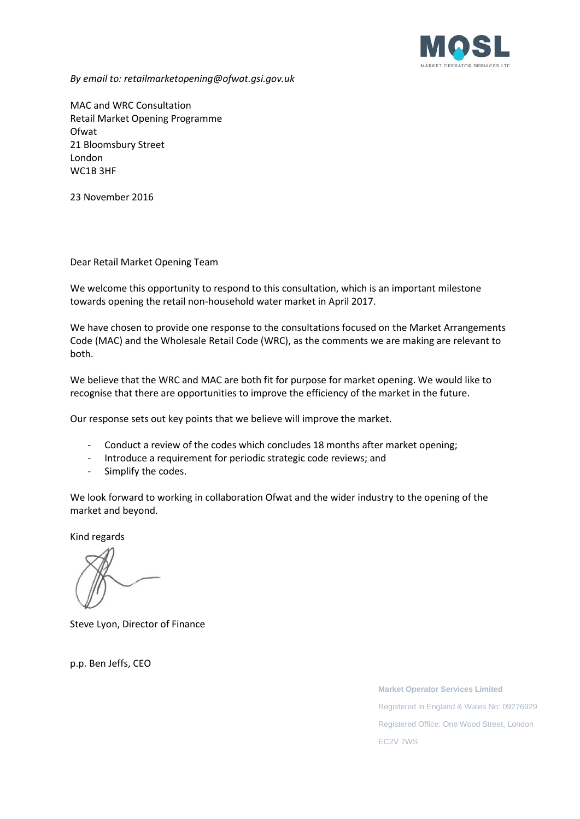

*By email to: retailmarketopening@ofwat.gsi.gov.uk*

MAC and WRC Consultation Retail Market Opening Programme Ofwat 21 Bloomsbury Street London WC1B 3HF

23 November 2016

Dear Retail Market Opening Team

We welcome this opportunity to respond to this consultation, which is an important milestone towards opening the retail non-household water market in April 2017.

We have chosen to provide one response to the consultations focused on the Market Arrangements Code (MAC) and the Wholesale Retail Code (WRC), as the comments we are making are relevant to both.

We believe that the WRC and MAC are both fit for purpose for market opening. We would like to recognise that there are opportunities to improve the efficiency of the market in the future.

Our response sets out key points that we believe will improve the market.

- Conduct a review of the codes which concludes 18 months after market opening;
- Introduce a requirement for periodic strategic code reviews; and
- Simplify the codes.

We look forward to working in collaboration Ofwat and the wider industry to the opening of the market and beyond.

Kind regards

Steve Lyon, Director of Finance

p.p. Ben Jeffs, CEO

**Market Operator Services Limited** Registered in England & Wales No: 09276929 Registered Office: One Wood Street, London EC2V 7WS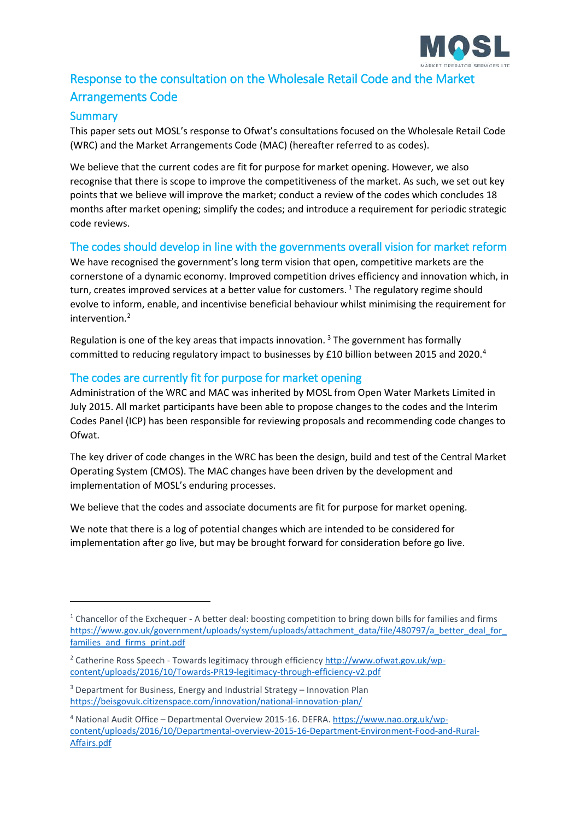

# Response to the consultation on the Wholesale Retail Code and the Market Arrangements Code

# **Summary**

<u>.</u>

This paper sets out MOSL's response to Ofwat's consultations focused on the Wholesale Retail Code (WRC) and the Market Arrangements Code (MAC) (hereafter referred to as codes).

We believe that the current codes are fit for purpose for market opening. However, we also recognise that there is scope to improve the competitiveness of the market. As such, we set out key points that we believe will improve the market; conduct a review of the codes which concludes 18 months after market opening; simplify the codes; and introduce a requirement for periodic strategic code reviews.

# The codes should develop in line with the governments overall vision for market reform

We have recognised the government's long term vision that open, competitive markets are the cornerstone of a dynamic economy. Improved competition drives efficiency and innovation which, in turn, creates improved services at a better value for customers.<sup>[1](#page-1-0)</sup> The regulatory regime should evolve to inform, enable, and incentivise beneficial behaviour whilst minimising the requirement for intervention. [2](#page-1-1)

Regulation is one of the key areas that impacts innovation.<sup>[3](#page-1-2)</sup> The government has formally committed to reducing regulatory impact to businesses by £10 billion between 2015 and 2020.<sup>[4](#page-1-3)</sup>

#### The codes are currently fit for purpose for market opening

Administration of the WRC and MAC was inherited by MOSL from Open Water Markets Limited in July 2015. All market participants have been able to propose changes to the codes and the Interim Codes Panel (ICP) has been responsible for reviewing proposals and recommending code changes to Ofwat.

The key driver of code changes in the WRC has been the design, build and test of the Central Market Operating System (CMOS). The MAC changes have been driven by the development and implementation of MOSL's enduring processes.

We believe that the codes and associate documents are fit for purpose for market opening.

We note that there is a log of potential changes which are intended to be considered for implementation after go live, but may be brought forward for consideration before go live.

<span id="page-1-0"></span><sup>&</sup>lt;sup>1</sup> Chancellor of the Exchequer - A better deal: boosting competition to bring down bills for families and firms https://www.gov.uk/government/uploads/system/uploads/attachment\_data/file/480797/a\_better\_deal\_for families and firms print.pdf

<span id="page-1-1"></span><sup>2</sup> Catherine Ross Speech - Towards legitimacy through efficiency [http://www.ofwat.gov.uk/wp](http://www.ofwat.gov.uk/wp-content/uploads/2016/10/Towards-PR19-legitimacy-through-efficiency-v2.pdf)[content/uploads/2016/10/Towards-PR19-legitimacy-through-efficiency-v2.pdf](http://www.ofwat.gov.uk/wp-content/uploads/2016/10/Towards-PR19-legitimacy-through-efficiency-v2.pdf)

<span id="page-1-2"></span><sup>3</sup> Department for Business, Energy and Industrial Strategy – Innovation Plan <https://beisgovuk.citizenspace.com/innovation/national-innovation-plan/>

<span id="page-1-3"></span><sup>4</sup> National Audit Office – Departmental Overview 2015-16. DEFRA. [https://www.nao.org.uk/wp](https://www.nao.org.uk/wp-content/uploads/2016/10/Departmental-overview-2015-16-Department-Environment-Food-and-Rural-Affairs.pdf)[content/uploads/2016/10/Departmental-overview-2015-16-Department-Environment-Food-and-Rural-](https://www.nao.org.uk/wp-content/uploads/2016/10/Departmental-overview-2015-16-Department-Environment-Food-and-Rural-Affairs.pdf)[Affairs.pdf](https://www.nao.org.uk/wp-content/uploads/2016/10/Departmental-overview-2015-16-Department-Environment-Food-and-Rural-Affairs.pdf)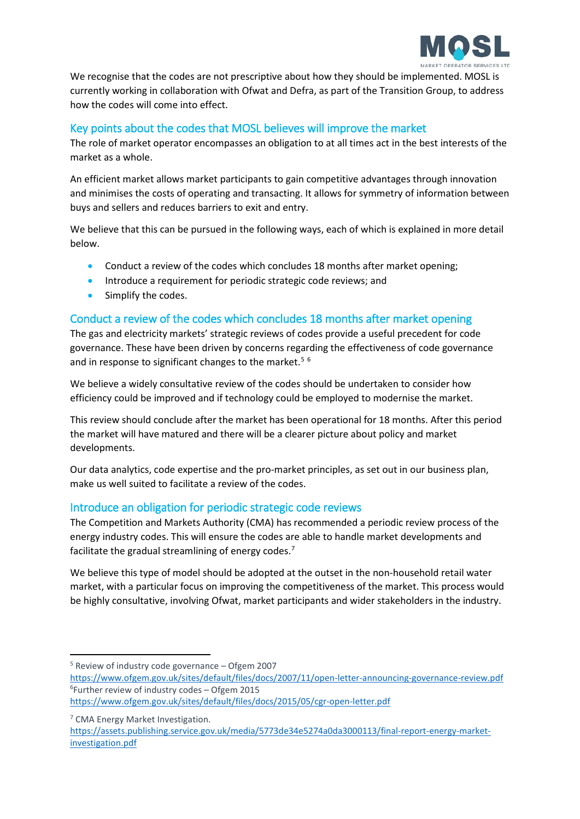

We recognise that the codes are not prescriptive about how they should be implemented. MOSL is currently working in collaboration with Ofwat and Defra, as part of the Transition Group, to address how the codes will come into effect.

# Key points about the codes that MOSL believes will improve the market

The role of market operator encompasses an obligation to at all times act in the best interests of the market as a whole.

An efficient market allows market participants to gain competitive advantages through innovation and minimises the costs of operating and transacting. It allows for symmetry of information between buys and sellers and reduces barriers to exit and entry.

We believe that this can be pursued in the following ways, each of which is explained in more detail below.

- Conduct a review of the codes which concludes 18 months after market opening;
- Introduce a requirement for periodic strategic code reviews; and
- Simplify the codes.

# Conduct a review of the codes which concludes 18 months after market opening

The gas and electricity markets' strategic reviews of codes provide a useful precedent for code governance. These have been driven by concerns regarding the effectiveness of code governance and in response to significant changes to the market.<sup>[5](#page-2-0)[6](#page-2-1)</sup>

We believe a widely consultative review of the codes should be undertaken to consider how efficiency could be improved and if technology could be employed to modernise the market.

This review should conclude after the market has been operational for 18 months. After this period the market will have matured and there will be a clearer picture about policy and market developments.

Our data analytics, code expertise and the pro-market principles, as set out in our business plan, make us well suited to facilitate a review of the codes.

#### Introduce an obligation for periodic strategic code reviews

The Competition and Markets Authority (CMA) has recommended a periodic review process of the energy industry codes. This will ensure the codes are able to handle market developments and facilitate the gradual streamlining of energy codes.<sup>[7](#page-2-2)</sup>

We believe this type of model should be adopted at the outset in the non-household retail water market, with a particular focus on improving the competitiveness of the market. This process would be highly consultative, involving Ofwat, market participants and wider stakeholders in the industry.

<span id="page-2-0"></span> $5$  Review of industry code governance – Ofgem 2007

<span id="page-2-1"></span><https://www.ofgem.gov.uk/sites/default/files/docs/2007/11/open-letter-announcing-governance-review.pdf> 6 Further review of industry codes – Ofgem 2015

<https://www.ofgem.gov.uk/sites/default/files/docs/2015/05/cgr-open-letter.pdf>

<span id="page-2-2"></span><sup>&</sup>lt;sup>7</sup> CMA Energy Market Investigation.

[https://assets.publishing.service.gov.uk/media/5773de34e5274a0da3000113/final-report-energy-market](https://assets.publishing.service.gov.uk/media/5773de34e5274a0da3000113/final-report-energy-market-investigation.pdf)[investigation.pdf](https://assets.publishing.service.gov.uk/media/5773de34e5274a0da3000113/final-report-energy-market-investigation.pdf)